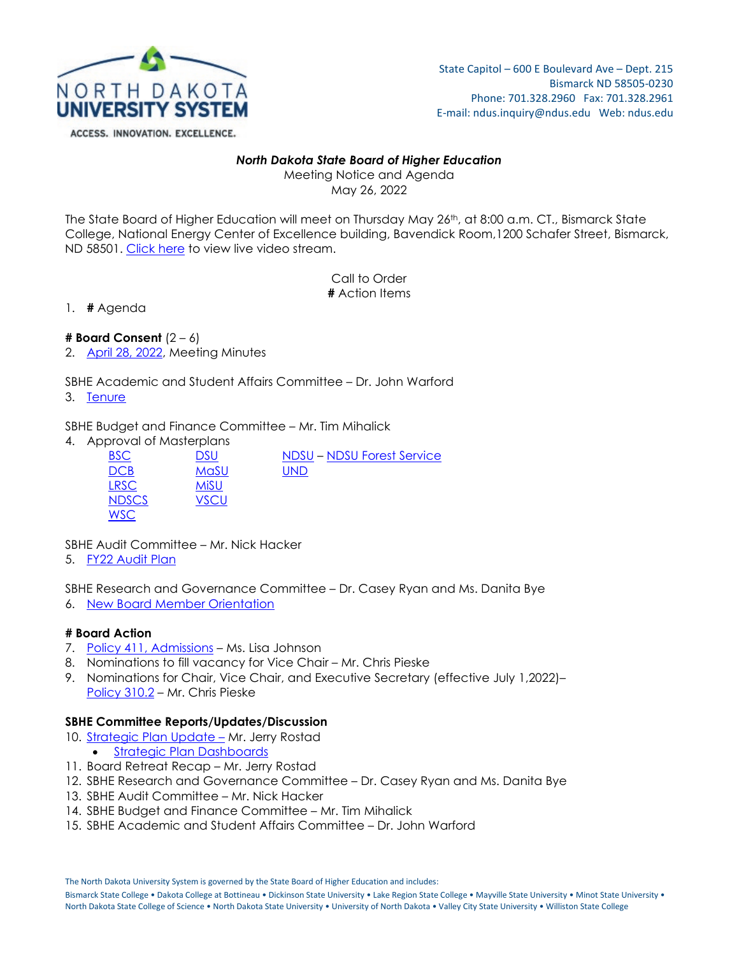

## *North Dakota State Board of Higher Education*

Meeting Notice and Agenda May 26, 2022

The State Board of Higher Education will meet on Thursday May 26<sup>th</sup>, at 8:00 a.m. CT., Bismarck State College, National Energy Center of Excellence building, Bavendick Room,1200 Schafer Street, Bismarck, ND 58501. [Click here](https://teams.microsoft.com/l/meetup-join/19%3ameeting_YTI1Y2ZiMDAtZWUwMi00OGIzLWI4NTEtNjRlMmU2Yzc2YTA5%40thread.v2/0?context=%7b%22Tid%22%3a%22ec37a091-b9a6-47e5-98d0-903d4a419203%22%2c%22Oid%22%3a%221489b8b1-b24a-43bf-98e1-e4b6c0baa591%22%2c%22IsBroadcastMeeting%22%3atrue%7d&btype=a&role=a) to view live video stream.

> Call to Order **#** Action Items

1. **#** Agenda

**# Board Consent** (2 – 6)

2. [April 28, 2022,](https://ndusbpos.sharepoint.com/:w:/s/NDUSSBHE/EUlS0qEscmdDl6M64PPllssB822Zjdh4M3umQvVLovZKDg?e=dUzaBb) Meeting Minutes

SBHE Academic and Student Affairs Committee – Dr. John Warford

3. [Tenure](https://ndusbpos.sharepoint.com/:b:/s/NDUSSBHE/EQXt7ctolldKiVM8MkPBAFIBp8k3djfIxa6tPz50W9V5Qg?e=tAhiqY)

SBHE Budget and Finance Committee – Mr. Tim Mihalick

4. Approval of Masterplans

| <b>BSC</b>   | <b>DSU</b> | <b>NDSU-NDSU Forest Service</b> |
|--------------|------------|---------------------------------|
| <b>DCB</b>   | MaSU       | <b>UND</b>                      |
| <b>LRSC</b>  | MiSU       |                                 |
| <b>NDSCS</b> | VSCU       |                                 |
| <b>WSC</b>   |            |                                 |

SBHE Audit Committee – Mr. Nick Hacker

5. [FY22 Audit Plan](https://ndusbpos.sharepoint.com/:b:/s/NDUSSBHE/EWy1Bw9XF89MoPTAiu8N1OMBlFeuGKkcwERKZv-sj1CynA?e=64iYbO)

SBHE Research and Governance Committee – Dr. Casey Ryan and Ms. Danita Bye

6. [New Board Member Orientation](https://ndusbpos.sharepoint.com/:w:/s/NDUSSBHE/EQrMjlRMZ-9NsalUcMy7QsMBtAHbDVtd19tqpQdsLWy0_A?e=gvVXWi)

# **# Board Action**

- 7. Policy [411, Admissions](https://ndusbpos.sharepoint.com/:b:/s/NDUSSBHE/EWjXHpQRPl9Mm6EClCAOvAwBBH4dU9nwHNYY08qe1wY2lg?e=VuncLz) Ms. Lisa Johnson
- 8. Nominations to fill vacancy for Vice Chair Mr. Chris Pieske
- 9. Nominations for Chair, Vice Chair, and Executive Secretary (effective July 1,2022)– [Policy 310.2](https://ndusbpos.sharepoint.com/:w:/s/NDUSPoliciesandProcedures/ERK9abinZ91Bo4b6gfEvSa0BX5mtIbOVmihnQBMcE8gwlQ?e=KsgSYT) – Mr. Chris Pieske

#### **SBHE Committee Reports/Updates/Discussion**

- 10. Strategic Plan Update Mr. Jerry Rostad • [Strategic Plan Dashboards](https://ndus.edu/strategic-plan/)
- 11. Board Retreat Recap Mr. Jerry Rostad
- 12. SBHE Research and Governance Committee Dr. Casey Ryan and Ms. Danita Bye
- 13. SBHE Audit Committee Mr. Nick Hacker
- 14. SBHE Budget and Finance Committee Mr. Tim Mihalick
- 15. SBHE Academic and Student Affairs Committee Dr. John Warford

The North Dakota University System is governed by the State Board of Higher Education and includes:

Bismarck State College • Dakota College at Bottineau • Dickinson State University • Lake Region State College • Mayville State University • Minot State University • North Dakota State College of Science • North Dakota State University • University of North Dakota • Valley City State University • Williston State College